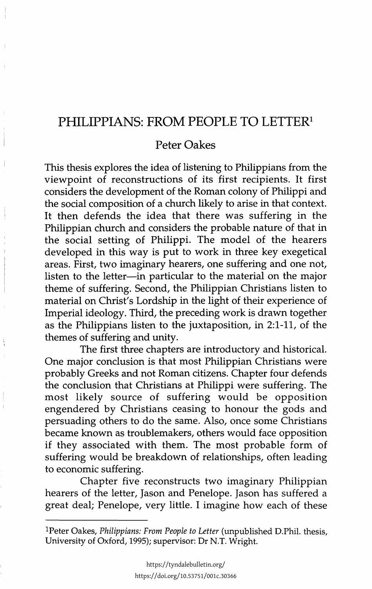## **PHILIPPIANS: FROM PEOPLE TO LETTER1**

## Peter Oakes

This thesis explores the idea of listening to Philippians from the viewpoint of reconstructions of its first recipients. It first considers the development of the Roman colony of Philippi and the social composition of a church likely to arise in that context. It then defends the idea that there was suffering in the Philippian church and considers the probable nature of that in the social setting of Philippi. The model of the hearers developed in this way is put to work in three key exegetical areas. First, two imaginary hearers, one suffering and one not, listen to the letter-in particular to the material on the major theme of suffering. Second, the Philippian Christians listen to material on Christ's Lordship in the light of their experience of Imperial ideology. Third, the preceding work is drawn together as the Philippians listen to the juxtaposition, in 2:1-11, of the themes of suffering and unity.

The first three chapters are introductory and historical. One major conclusion is that most Philippian Christians were probably Greeks and not Roman citizens. Chapter four defends the conclusion that Christians at Philippi were suffering. The most likely source of suffering would be opposition engendered by Christians ceasing to honour the gods and persuading others to do the same. Also, once some Christians became known as troublemakers, others would face opposition if they associated with them. The most probable form of suffering would be breakdown of relationships, often leading to economic suffering.

Chapter five reconstructs two imaginary Philippian hearers of the letter, Jason and Penelope. Jason has suffered a great deal; Penelope, very little. I imagine how each of these

lPeter Oakes, *Philippians: From People to Letter* (unpublished D.Phil. thesis, University of Oxford, 1995); supervisor: Dr N.T. Wright.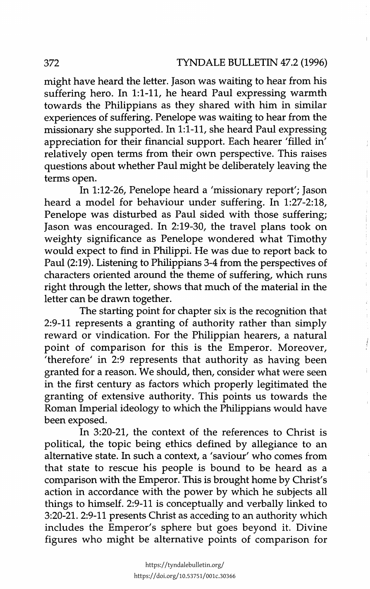might have heard the letter. Jason was waiting to hear from his suffering hero. In 1:1-11, he heard Paul expressing warmth towards the Philippians as they shared with him in similar experiences of suffering. Penelope was waiting to hear from the missionary she supported. In 1:1-11, she heard Paul expressing appreciation for their financial support. Each hearer 'filled in' relatively open terms from their own perspective. This raises questions about whether Paul might be deliberately leaving the terms open.

In 1:12-26, Penelope heard a 'missionary report'; Jason heard a model for behaviour under suffering. In 1:27-2:18, Penelope was disturbed as Paul sided with those suffering; Jason was encouraged. In 2:19-30, the travel plans took on weighty significance as Penelope wondered what Timothy would expect to find in Philippi. He was due to report back to Paul (2:19). Listening to Philippians 3-4 from the perspectives of characters oriented around the theme of suffering, which runs right through the letter, shows that much of the material in the letter can be drawn together.

The starting point for chapter six is the recognition that 2:9-11 represents a granting of authority rather than simply reward or vindication. For the Philippian hearers, a natural point of comparison for this is the Emperor. Moreover, therefore' in 2:9 represents that authority as having been granted for a reason. We should, then, consider what were seen in the first century as factors which properly legitimated the granting of extensive authority. This points us towards the Roman Imperial ideology to which the Philippians would have been exposed.

In 3:20-21, the context of the references to Christ is political, the topic being ethics defined by allegiance to an alternative state. In such a context, a 'saviour' who comes from that state to rescue his people is bound to be heard as a comparison with the Emperor. This is brought home by Christ's action in accordance with the power by which he subjects all things to himself. 2:9-11 is conceptually and verbally linked to 3:20-21. 2:9-11 presents Christ as acceding to an authority which includes the Emperor's sphere but goes beyond it. Divine figures who might be alternative points of comparison for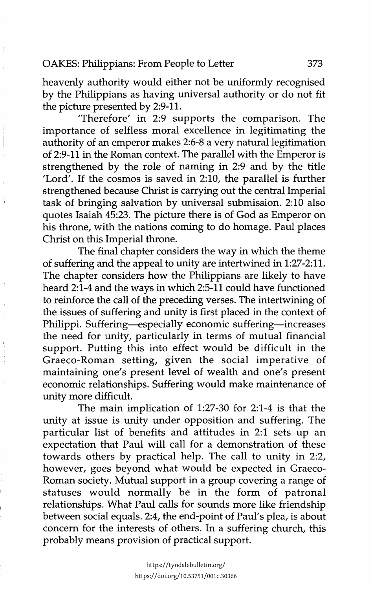heavenly authority would either not be uniformly recognised by the Philippians as having universal authority or do not fit the picture presented by 2:9-11.

'Therefore' in 2:9 supports the comparison. The importance of selfless moral excellence in legitimating the authority of an emperor makes 2:6-8 a very natural legitimation of 2:9-11 in the Roman context. The parallel with the Emperor is strengthened by the role of naming in 2:9 and by the title 'Lord'. If the cosmos is saved in 2:10, the parallel is further strengthened because Christ is carrying out the central Imperial task of bringing salvation by universal submission. 2:10 also quotes Isaiah 45:23. The picture there is of God as Emperor on his throne, with the nations coming to do homage. Paul places Christ on this Imperial throne.

The final chapter considers the way in which the theme of suffering and the appeal to unity are intertwined in 1:27-2:11. The chapter considers how the Philippians are likely to have heard 2:1-4 and the ways in which 2:5-11 could have functioned to reinforce the call of the preceding verses. The intertwining of the issues of suffering and unity is first placed in the context of Philippi. Suffering-especially economic suffering-increases the need for unity, particularly in terms of mutual financial support. Putting this into effect would be difficult in the Graeco-Roman setting, given the social imperative of maintaining one's present level of wealth and one's present economic relationships. Suffering would make maintenance of unity more difficult.

The main implication of 1:27-30 for 2:1-4 is that the unity at issue is unity under opposition and suffering. The particular list of benefits and attitudes in 2:1 sets up an expectation that Paul will call for a demonstration of these towards others by practical help. The call to unity in 2:2, however, goes beyond what would be expected in Graeco-Roman society. Mutual support in a group covering a range of statuses would normally be in the form of patronal relationships. What Paul calls for sounds more like friendship between social equals. 2:4, the end-point of Paul's plea, is about concern for the interests of others. In a suffering church, this probably means provision of practical support.